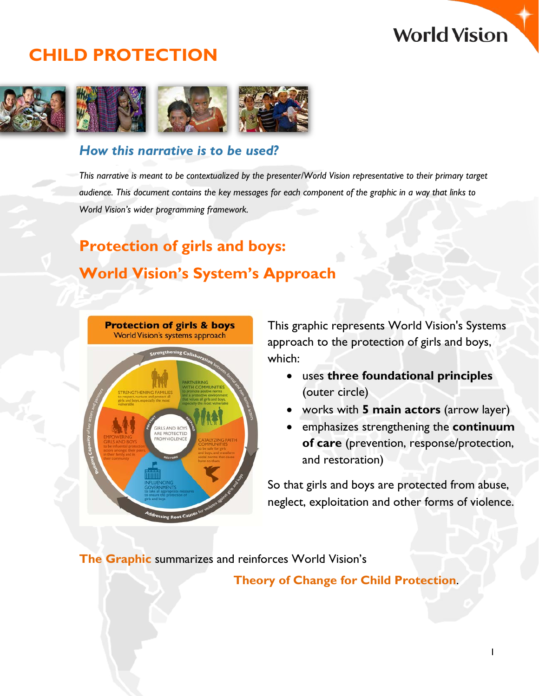## **World Vision**

## **CHILD PROTECTION**



## *How this narrative is to be used?*

*This narrative is meant to be contextualized by the presenter/World Vision representative to their primary target audience. This document contains the key messages for each component of the graphic in a way that links to World Vision's wider programming framework.*

## **Protection of girls and boys: World Vision's System's Approach**



This graphic represents World Vision's Systems approach to the protection of girls and boys, which:

- uses **three foundational principles** (outer circle)
- works with **5 main actors** (arrow layer)
- emphasizes strengthening the **continuum of care** (prevention, response/protection, and restoration)

So that girls and boys are protected from abuse, neglect, exploitation and other forms of violence.

**The Graphic** summarizes and reinforces World Vision's

**Theory of Change for Child Protection**.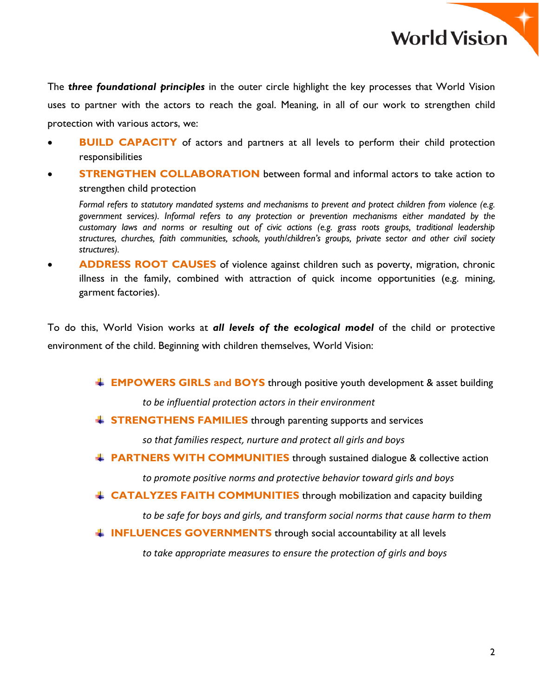**World Vision** 

The *three foundational principles* in the outer circle highlight the key processes that World Vision uses to partner with the actors to reach the goal. Meaning, in all of our work to strengthen child protection with various actors, we:

- **BUILD CAPACITY** of actors and partners at all levels to perform their child protection responsibilities
- **STRENGTHEN COLLABORATION** between formal and informal actors to take action to strengthen child protection

*Formal refers to statutory mandated systems and mechanisms to prevent and protect children from violence (e.g. government services). Informal refers to any protection or prevention mechanisms either mandated by the customary laws and norms or resulting out of civic actions (e.g. grass roots groups, traditional leadership structures, churches, faith communities, schools, youth/children's groups, private sector and other civil society structures).*

• **ADDRESS ROOT CAUSES** of violence against children such as poverty, migration, chronic illness in the family, combined with attraction of quick income opportunities (e.g. mining, garment factories).

To do this, World Vision works at *all levels of the ecological model* of the child or protective environment of the child. Beginning with children themselves, World Vision:

**EMPOWERS GIRLS and BOYS** through positive youth development & asset building

*to be influential protection actors in their environment*

**STRENGTHENS FAMILIES** through parenting supports and services

*so that families respect, nurture and protect all girls and boys*

**FRARTNERS WITH COMMUNITIES** through sustained dialogue & collective action

*to promote positive norms and protective behavior toward girls and boys*

**EXTERITER FAITH COMMUNITIES** through mobilization and capacity building

*to be safe for boys and girls, and transform social norms that cause harm to them*

**INFLUENCES GOVERNMENTS** through social accountability at all levels

*to take appropriate measures to ensure the protection of girls and boys*